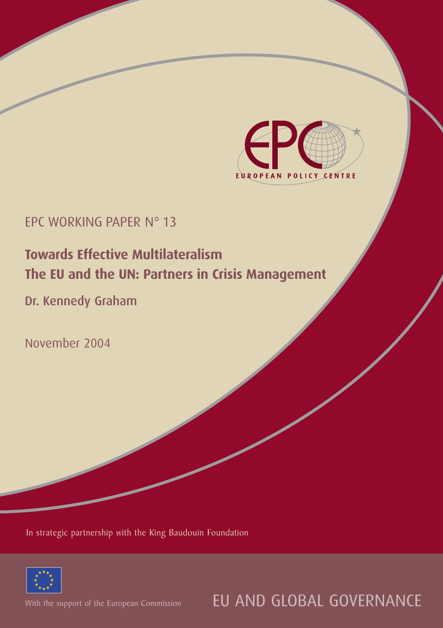

# EPC WORKING PAPER N° 13

# **Towards Effective Multilateralism The EU and the UN: Partners in Crisis Management**

# Dr. Kennedy Graham

November 2004

In strategic partnership with the King Baudouin Foundation



With the support of the European Commission

EU AND GLOBAL GOVERNANCE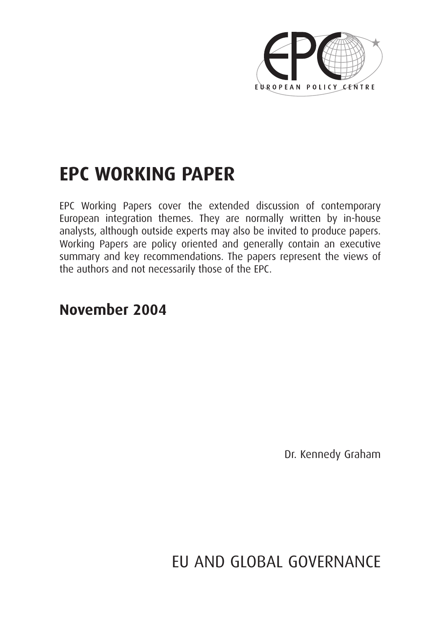

# **EPC WORKING PAPER**

EPC Working Papers cover the extended discussion of contemporary European integration themes. They are normally written by in-house analysts, although outside experts may also be invited to produce papers. Working Papers are policy oriented and generally contain an executive summary and key recommendations. The papers represent the views of the authors and not necessarily those of the EPC.

# **November 2004**

Dr. Kennedy Graham

EU AND GLOBAL GOVERNANCE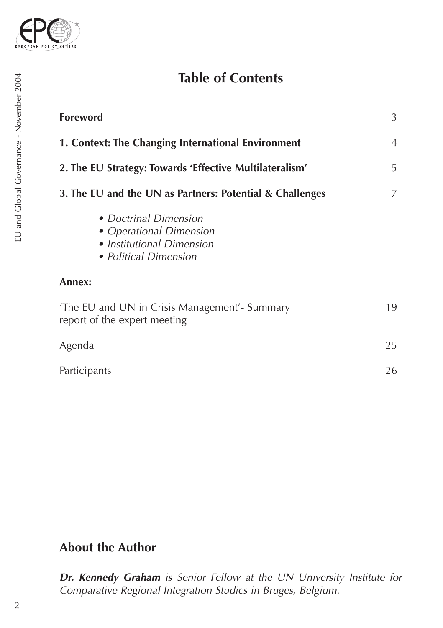

# **Table of Contents**

| <b>Foreword</b>                                                                                        | 3              |
|--------------------------------------------------------------------------------------------------------|----------------|
| 1. Context: The Changing International Environment                                                     | $\overline{4}$ |
| 2. The EU Strategy: Towards 'Effective Multilateralism'                                                | 5              |
| 3. The EU and the UN as Partners: Potential & Challenges                                               | 7              |
| • Doctrinal Dimension<br>• Operational Dimension<br>• Institutional Dimension<br>• Political Dimension |                |
| Annex:                                                                                                 |                |
| 'The EU and UN in Crisis Management'- Summary<br>report of the expert meeting                          | 19             |
| Agenda                                                                                                 | 25             |
| Participants                                                                                           | 26             |

# **About the Author**

*Dr. Kennedy Graham is Senior Fellow at the UN University Institute for Comparative Regional Integration Studies in Bruges, Belgium.*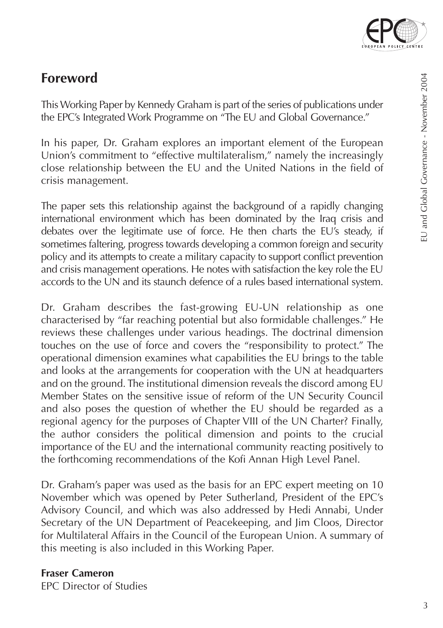

# **Foreword**

This Working Paper by Kennedy Graham is part of the series of publications under the EPC's Integrated Work Programme on "The EU and Global Governance."

In his paper, Dr. Graham explores an important element of the European Union's commitment to "effective multilateralism," namely the increasingly close relationship between the EU and the United Nations in the field of crisis management.

The paper sets this relationship against the background of a rapidly changing international environment which has been dominated by the Iraq crisis and debates over the legitimate use of force. He then charts the EU's steady, if sometimes faltering, progress towards developing a common foreign and security policy and its attempts to create a military capacity to support conflict prevention and crisis management operations. He notes with satisfaction the key role the EU accords to the UN and its staunch defence of a rules based international system.

Dr. Graham describes the fast-growing EU-UN relationship as one characterised by "far reaching potential but also formidable challenges." He reviews these challenges under various headings. The doctrinal dimension touches on the use of force and covers the "responsibility to protect." The operational dimension examines what capabilities the EU brings to the table and looks at the arrangements for cooperation with the UN at headquarters and on the ground. The institutional dimension reveals the discord among EU Member States on the sensitive issue of reform of the UN Security Council and also poses the question of whether the EU should be regarded as a regional agency for the purposes of Chapter VIII of the UN Charter? Finally, the author considers the political dimension and points to the crucial importance of the EU and the international community reacting positively to the forthcoming recommendations of the Kofi Annan High Level Panel.

Dr. Graham's paper was used as the basis for an EPC expert meeting on 10 November which was opened by Peter Sutherland, President of the EPC's Advisory Council, and which was also addressed by Hedi Annabi, Under Secretary of the UN Department of Peacekeeping, and Jim Cloos, Director for Multilateral Affairs in the Council of the European Union. A summary of this meeting is also included in this Working Paper.

#### **Fraser Cameron**

EPC Director of Studies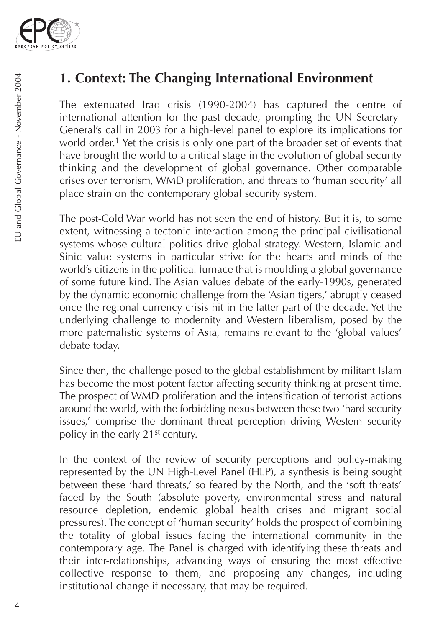

# **1. Context: The Changing International Environment**

The extenuated Iraq crisis (1990-2004) has captured the centre of international attention for the past decade, prompting the UN Secretary-General's call in 2003 for a high-level panel to explore its implications for world order.<sup>1</sup> Yet the crisis is only one part of the broader set of events that have brought the world to a critical stage in the evolution of global security thinking and the development of global governance. Other comparable crises over terrorism, WMD proliferation, and threats to 'human security' all place strain on the contemporary global security system.

The post-Cold War world has not seen the end of history. But it is, to some extent, witnessing a tectonic interaction among the principal civilisational systems whose cultural politics drive global strategy. Western, Islamic and Sinic value systems in particular strive for the hearts and minds of the world's citizens in the political furnace that is moulding a global governance of some future kind. The Asian values debate of the early-1990s, generated by the dynamic economic challenge from the 'Asian tigers,' abruptly ceased once the regional currency crisis hit in the latter part of the decade. Yet the underlying challenge to modernity and Western liberalism, posed by the more paternalistic systems of Asia, remains relevant to the 'global values' debate today.

Since then, the challenge posed to the global establishment by militant Islam has become the most potent factor affecting security thinking at present time. The prospect of WMD proliferation and the intensification of terrorist actions around the world, with the forbidding nexus between these two 'hard security issues,' comprise the dominant threat perception driving Western security policy in the early 21st century.

In the context of the review of security perceptions and policy-making represented by the UN High-Level Panel (HLP), a synthesis is being sought between these 'hard threats,' so feared by the North, and the 'soft threats' faced by the South (absolute poverty, environmental stress and natural resource depletion, endemic global health crises and migrant social pressures). The concept of 'human security' holds the prospect of combining the totality of global issues facing the international community in the contemporary age. The Panel is charged with identifying these threats and their inter-relationships, advancing ways of ensuring the most effective collective response to them, and proposing any changes, including institutional change if necessary, that may be required.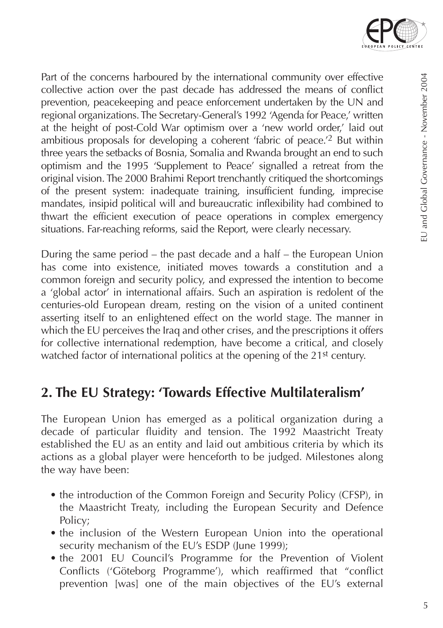

Part of the concerns harboured by the international community over effective collective action over the past decade has addressed the means of conflict prevention, peacekeeping and peace enforcement undertaken by the UN and regional organizations. The Secretary-General's 1992 'Agenda for Peace,' written at the height of post-Cold War optimism over a 'new world order,' laid out ambitious proposals for developing a coherent 'fabric of peace.'2 But within three years the setbacks of Bosnia, Somalia and Rwanda brought an end to such optimism and the 1995 'Supplement to Peace' signalled a retreat from the original vision. The 2000 Brahimi Report trenchantly critiqued the shortcomings of the present system: inadequate training, insufficient funding, imprecise mandates, insipid political will and bureaucratic inflexibility had combined to thwart the efficient execution of peace operations in complex emergency situations. Far-reaching reforms, said the Report, were clearly necessary.

During the same period – the past decade and a half – the European Union has come into existence, initiated moves towards a constitution and a common foreign and security policy, and expressed the intention to become a 'global actor' in international affairs. Such an aspiration is redolent of the centuries-old European dream, resting on the vision of a united continent asserting itself to an enlightened effect on the world stage. The manner in which the EU perceives the Iraq and other crises, and the prescriptions it offers for collective international redemption, have become a critical, and closely watched factor of international politics at the opening of the 21<sup>st</sup> century.

# **2. The EU Strategy: 'Towards Effective Multilateralism'**

The European Union has emerged as a political organization during a decade of particular fluidity and tension. The 1992 Maastricht Treaty established the EU as an entity and laid out ambitious criteria by which its actions as a global player were henceforth to be judged. Milestones along the way have been:

- the introduction of the Common Foreign and Security Policy (CFSP), in the Maastricht Treaty, including the European Security and Defence Policy;
- the inclusion of the Western European Union into the operational security mechanism of the EU's ESDP (June 1999);
- the 2001 EU Council's Programme for the Prevention of Violent Conflicts ('Göteborg Programme'), which reaffirmed that "conflict prevention [was] one of the main objectives of the EU's external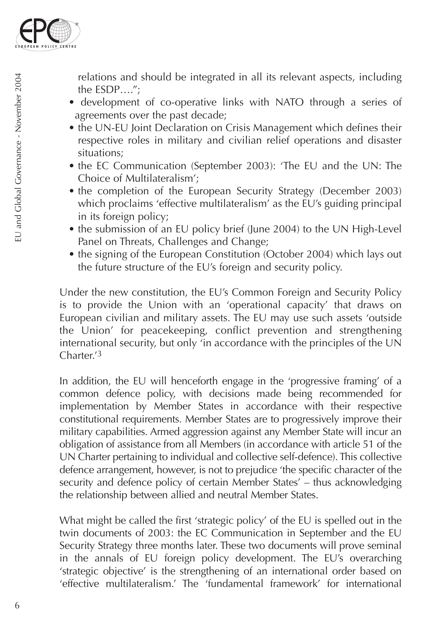

relations and should be integrated in all its relevant aspects, including the ESDP….";

- development of co-operative links with NATO through a series of agreements over the past decade;
- the UN-EU Joint Declaration on Crisis Management which defines their respective roles in military and civilian relief operations and disaster situations;
- the EC Communication (September 2003): 'The EU and the UN: The Choice of Multilateralism';
- the completion of the European Security Strategy (December 2003) which proclaims 'effective multilateralism' as the EU's guiding principal in its foreign policy;
- the submission of an EU policy brief (June 2004) to the UN High-Level Panel on Threats, Challenges and Change;
- the signing of the European Constitution (October 2004) which lays out the future structure of the EU's foreign and security policy.

Under the new constitution, the EU's Common Foreign and Security Policy is to provide the Union with an 'operational capacity' that draws on European civilian and military assets. The EU may use such assets 'outside the Union' for peacekeeping, conflict prevention and strengthening international security, but only 'in accordance with the principles of the UN Charter<sup>'3</sup>

In addition, the EU will henceforth engage in the 'progressive framing' of a common defence policy, with decisions made being recommended for implementation by Member States in accordance with their respective constitutional requirements. Member States are to progressively improve their military capabilities. Armed aggression against any Member State will incur an obligation of assistance from all Members (in accordance with article 51 of the UN Charter pertaining to individual and collective self-defence). This collective defence arrangement, however, is not to prejudice 'the specific character of the security and defence policy of certain Member States' – thus acknowledging the relationship between allied and neutral Member States.

What might be called the first 'strategic policy' of the EU is spelled out in the twin documents of 2003: the EC Communication in September and the EU Security Strategy three months later. These two documents will prove seminal in the annals of EU foreign policy development. The EU's overarching 'strategic objective' is the strengthening of an international order based on 'effective multilateralism.' The 'fundamental framework' for international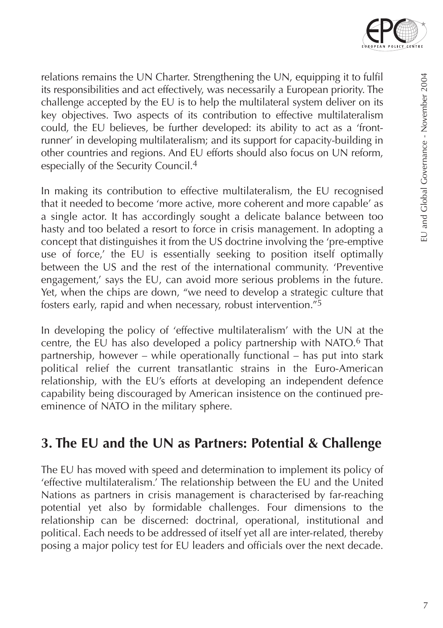

relations remains the UN Charter. Strengthening the UN, equipping it to fulfil its responsibilities and act effectively, was necessarily a European priority. The challenge accepted by the EU is to help the multilateral system deliver on its key objectives. Two aspects of its contribution to effective multilateralism could, the EU believes, be further developed: its ability to act as a 'frontrunner' in developing multilateralism; and its support for capacity-building in other countries and regions. And EU efforts should also focus on UN reform, especially of the Security Council.4

In making its contribution to effective multilateralism, the EU recognised that it needed to become 'more active, more coherent and more capable' as a single actor. It has accordingly sought a delicate balance between too hasty and too belated a resort to force in crisis management. In adopting a concept that distinguishes it from the US doctrine involving the 'pre-emptive use of force,' the EU is essentially seeking to position itself optimally between the US and the rest of the international community. 'Preventive engagement,' says the EU, can avoid more serious problems in the future. Yet, when the chips are down, "we need to develop a strategic culture that fosters early, rapid and when necessary, robust intervention."5

In developing the policy of 'effective multilateralism' with the UN at the centre, the EU has also developed a policy partnership with NATO.6 That partnership, however – while operationally functional – has put into stark political relief the current transatlantic strains in the Euro-American relationship, with the EU's efforts at developing an independent defence capability being discouraged by American insistence on the continued preeminence of NATO in the military sphere.

# **3. The EU and the UN as Partners: Potential & Challenge**

The EU has moved with speed and determination to implement its policy of 'effective multilateralism.' The relationship between the EU and the United Nations as partners in crisis management is characterised by far-reaching potential yet also by formidable challenges. Four dimensions to the relationship can be discerned: doctrinal, operational, institutional and political. Each needs to be addressed of itself yet all are inter-related, thereby posing a major policy test for EU leaders and officials over the next decade.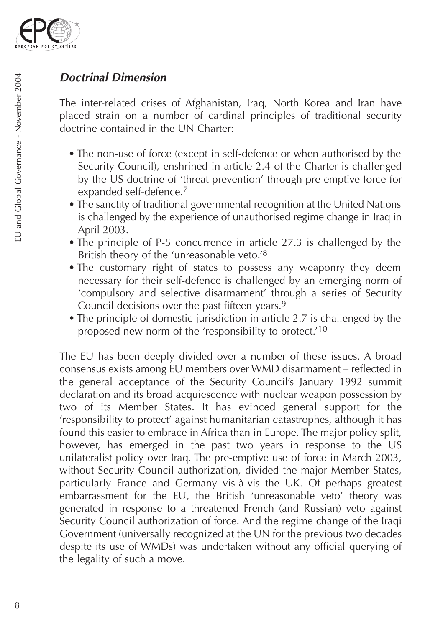

### *Doctrinal Dimension*

The inter-related crises of Afghanistan, Iraq, North Korea and Iran have placed strain on a number of cardinal principles of traditional security doctrine contained in the UN Charter:

- The non-use of force (except in self-defence or when authorised by the Security Council), enshrined in article 2.4 of the Charter is challenged by the US doctrine of 'threat prevention' through pre-emptive force for expanded self-defence.7
- The sanctity of traditional governmental recognition at the United Nations is challenged by the experience of unauthorised regime change in Iraq in April 2003.
- The principle of P-5 concurrence in article 27.3 is challenged by the British theory of the 'unreasonable veto.'8
- The customary right of states to possess any weaponry they deem necessary for their self-defence is challenged by an emerging norm of 'compulsory and selective disarmament' through a series of Security Council decisions over the past fifteen years.9
- The principle of domestic jurisdiction in article 2.7 is challenged by the proposed new norm of the 'responsibility to protect.'10

The EU has been deeply divided over a number of these issues. A broad consensus exists among EU members over WMD disarmament – reflected in the general acceptance of the Security Council's January 1992 summit declaration and its broad acquiescence with nuclear weapon possession by two of its Member States. It has evinced general support for the 'responsibility to protect' against humanitarian catastrophes, although it has found this easier to embrace in Africa than in Europe. The major policy split, however, has emerged in the past two years in response to the US unilateralist policy over Iraq. The pre-emptive use of force in March 2003, without Security Council authorization, divided the major Member States, particularly France and Germany vis-à-vis the UK. Of perhaps greatest embarrassment for the EU, the British 'unreasonable veto' theory was generated in response to a threatened French (and Russian) veto against Security Council authorization of force. And the regime change of the Iraqi Government (universally recognized at the UN for the previous two decades despite its use of WMDs) was undertaken without any official querying of the legality of such a move.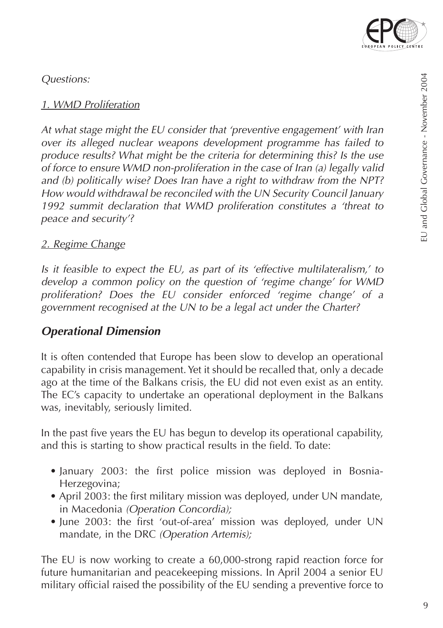

*Questions:*

#### *1. WMD Proliferation*

*At what stage might the EU consider that 'preventive engagement' with Iran over its alleged nuclear weapons development programme has failed to produce results? What might be the criteria for determining this? Is the use of force to ensure WMD non-proliferation in the case of Iran (a) legally valid and (b) politically wise? Does Iran have a right to withdraw from the NPT? How would withdrawal be reconciled with the UN Security Council January 1992 summit declaration that WMD proliferation constitutes a 'threat to peace and security'?*

#### *2. Regime Change*

*Is it feasible to expect the EU, as part of its 'effective multilateralism,' to develop a common policy on the question of 'regime change' for WMD proliferation? Does the EU consider enforced 'regime change' of a government recognised at the UN to be a legal act under the Charter?* 

### *Operational Dimension*

It is often contended that Europe has been slow to develop an operational capability in crisis management. Yet it should be recalled that, only a decade ago at the time of the Balkans crisis, the EU did not even exist as an entity. The EC's capacity to undertake an operational deployment in the Balkans was, inevitably, seriously limited.

In the past five years the EU has begun to develop its operational capability, and this is starting to show practical results in the field. To date:

- January 2003: the first police mission was deployed in Bosnia-Herzegovina;
- April 2003: the first military mission was deployed, under UN mandate, in Macedonia *(Operation Concordia);*
- June 2003: the first 'out-of-area' mission was deployed, under UN mandate, in the DRC *(Operation Artemis);*

The EU is now working to create a 60,000-strong rapid reaction force for future humanitarian and peacekeeping missions. In April 2004 a senior EU military official raised the possibility of the EU sending a preventive force to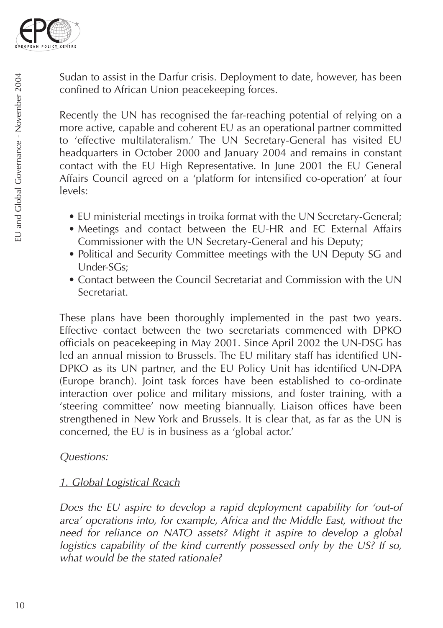

Sudan to assist in the Darfur crisis. Deployment to date, however, has been confined to African Union peacekeeping forces.

Recently the UN has recognised the far-reaching potential of relying on a more active, capable and coherent EU as an operational partner committed to 'effective multilateralism.' The UN Secretary-General has visited EU headquarters in October 2000 and January 2004 and remains in constant contact with the EU High Representative. In June 2001 the EU General Affairs Council agreed on a 'platform for intensified co-operation' at four levels:

- EU ministerial meetings in troika format with the UN Secretary-General;
- Meetings and contact between the EU-HR and EC External Affairs Commissioner with the UN Secretary-General and his Deputy;
- Political and Security Committee meetings with the UN Deputy SG and Under-SGs;
- Contact between the Council Secretariat and Commission with the UN Secretariat.

These plans have been thoroughly implemented in the past two years. Effective contact between the two secretariats commenced with DPKO officials on peacekeeping in May 2001. Since April 2002 the UN-DSG has led an annual mission to Brussels. The EU military staff has identified UN-DPKO as its UN partner, and the EU Policy Unit has identified UN-DPA (Europe branch). Joint task forces have been established to co-ordinate interaction over police and military missions, and foster training, with a 'steering committee' now meeting biannually. Liaison offices have been strengthened in New York and Brussels. It is clear that, as far as the UN is concerned, the EU is in business as a 'global actor.'

#### *Questions:*

#### *1. Global Logistical Reach*

*Does the EU aspire to develop a rapid deployment capability for 'out-of area' operations into, for example, Africa and the Middle East, without the need for reliance on NATO assets? Might it aspire to develop a global logistics capability of the kind currently possessed only by the US? If so, what would be the stated rationale?*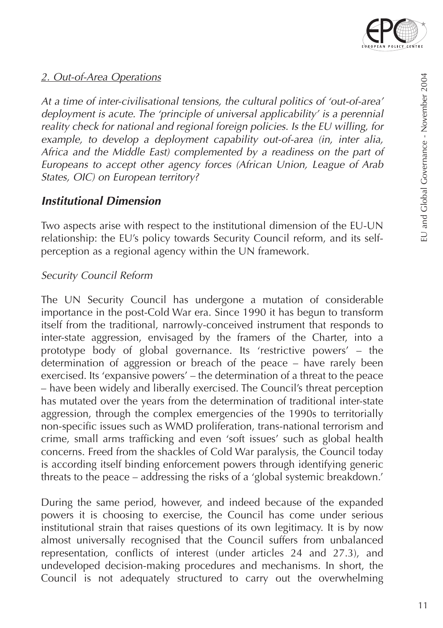

#### *2. Out-of-Area Operations*

*At a time of inter-civilisational tensions, the cultural politics of 'out-of-area' deployment is acute. The 'principle of universal applicability' is a perennial reality check for national and regional foreign policies. Is the EU willing, for example, to develop a deployment capability out-of-area (in, inter alia, Africa and the Middle East) complemented by a readiness on the part of Europeans to accept other agency forces (African Union, League of Arab States, OIC) on European territory?*

### *Institutional Dimension*

Two aspects arise with respect to the institutional dimension of the EU-UN relationship: the EU's policy towards Security Council reform, and its selfperception as a regional agency within the UN framework.

#### *Security Council Reform*

The UN Security Council has undergone a mutation of considerable importance in the post-Cold War era. Since 1990 it has begun to transform itself from the traditional, narrowly-conceived instrument that responds to inter-state aggression, envisaged by the framers of the Charter, into a prototype body of global governance. Its 'restrictive powers' – the determination of aggression or breach of the peace – have rarely been exercised. Its 'expansive powers' – the determination of a threat to the peace – have been widely and liberally exercised. The Council's threat perception has mutated over the years from the determination of traditional inter-state aggression, through the complex emergencies of the 1990s to territorially non-specific issues such as WMD proliferation, trans-national terrorism and crime, small arms trafficking and even 'soft issues' such as global health concerns. Freed from the shackles of Cold War paralysis, the Council today is according itself binding enforcement powers through identifying generic threats to the peace – addressing the risks of a 'global systemic breakdown.'

During the same period, however, and indeed because of the expanded powers it is choosing to exercise, the Council has come under serious institutional strain that raises questions of its own legitimacy. It is by now almost universally recognised that the Council suffers from unbalanced representation, conflicts of interest (under articles 24 and 27.3), and undeveloped decision-making procedures and mechanisms. In short, the Council is not adequately structured to carry out the overwhelming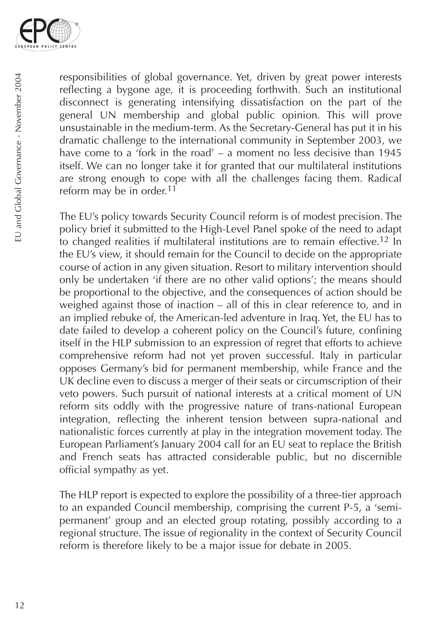

responsibilities of global governance. Yet, driven by great power interests reflecting a bygone age, it is proceeding forthwith. Such an institutional disconnect is generating intensifying dissatisfaction on the part of the general UN membership and global public opinion. This will prove unsustainable in the medium-term. As the Secretary-General has put it in his dramatic challenge to the international community in September 2003, we have come to a 'fork in the road' – a moment no less decisive than 1945 itself. We can no longer take it for granted that our multilateral institutions are strong enough to cope with all the challenges facing them. Radical reform may be in order.<sup>11</sup>

The EU's policy towards Security Council reform is of modest precision. The policy brief it submitted to the High-Level Panel spoke of the need to adapt to changed realities if multilateral institutions are to remain effective.<sup>12</sup> In the EU's view, it should remain for the Council to decide on the appropriate course of action in any given situation. Resort to military intervention should only be undertaken 'if there are no other valid options'; the means should be proportional to the objective, and the consequences of action should be weighed against those of inaction – all of this in clear reference to, and in an implied rebuke of, the American-led adventure in Iraq. Yet, the EU has to date failed to develop a coherent policy on the Council's future, confining itself in the HLP submission to an expression of regret that efforts to achieve comprehensive reform had not yet proven successful. Italy in particular opposes Germany's bid for permanent membership, while France and the UK decline even to discuss a merger of their seats or circumscription of their veto powers. Such pursuit of national interests at a critical moment of UN reform sits oddly with the progressive nature of trans-national European integration, reflecting the inherent tension between supra-national and nationalistic forces currently at play in the integration movement today. The European Parliament's January 2004 call for an EU seat to replace the British and French seats has attracted considerable public, but no discernible official sympathy as yet.

The HLP report is expected to explore the possibility of a three-tier approach to an expanded Council membership, comprising the current P-5, a 'semipermanent' group and an elected group rotating, possibly according to a regional structure. The issue of regionality in the context of Security Council reform is therefore likely to be a major issue for debate in 2005.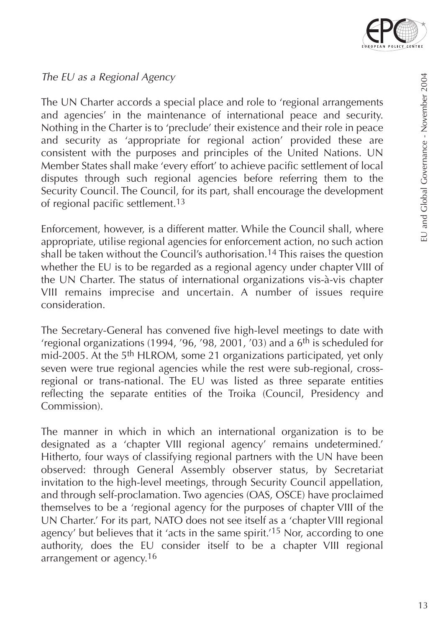

EU and Global Governance - November 2004

EU and Global Governance - November 2004

*The EU as a Regional Agency*

The UN Charter accords a special place and role to 'regional arrangements and agencies' in the maintenance of international peace and security. Nothing in the Charter is to 'preclude' their existence and their role in peace and security as 'appropriate for regional action' provided these are consistent with the purposes and principles of the United Nations. UN Member States shall make 'every effort' to achieve pacific settlement of local disputes through such regional agencies before referring them to the Security Council. The Council, for its part, shall encourage the development of regional pacific settlement.13

Enforcement, however, is a different matter. While the Council shall, where appropriate, utilise regional agencies for enforcement action, no such action shall be taken without the Council's authorisation.14 This raises the question whether the EU is to be regarded as a regional agency under chapter VIII of the UN Charter. The status of international organizations vis-à-vis chapter VIII remains imprecise and uncertain. A number of issues require consideration.

The Secretary-General has convened five high-level meetings to date with 'regional organizations (1994, '96, '98, 2001, '03) and a  $6<sup>th</sup>$  is scheduled for mid-2005. At the 5<sup>th</sup> HLROM, some 21 organizations participated, yet only seven were true regional agencies while the rest were sub-regional, crossregional or trans-national. The EU was listed as three separate entities reflecting the separate entities of the Troika (Council, Presidency and Commission).

The manner in which in which an international organization is to be designated as a 'chapter VIII regional agency' remains undetermined.' Hitherto, four ways of classifying regional partners with the UN have been observed: through General Assembly observer status, by Secretariat invitation to the high-level meetings, through Security Council appellation, and through self-proclamation. Two agencies (OAS, OSCE) have proclaimed themselves to be a 'regional agency for the purposes of chapter VIII of the UN Charter.' For its part, NATO does not see itself as a 'chapter VIII regional agency' but believes that it 'acts in the same spirit.'15 Nor, according to one authority, does the EU consider itself to be a chapter VIII regional arrangement or agency.<sup>16</sup>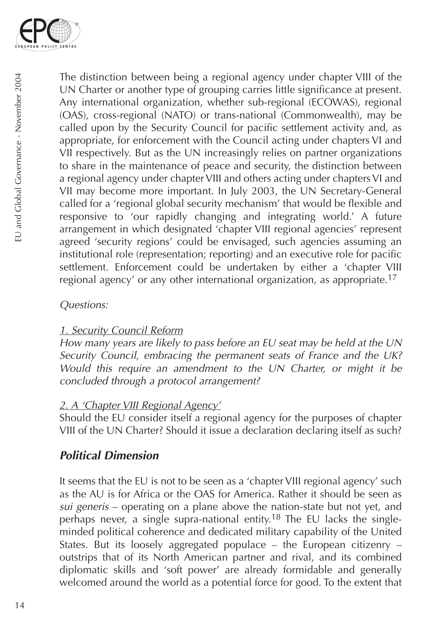

The distinction between being a regional agency under chapter VIII of the UN Charter or another type of grouping carries little significance at present. Any international organization, whether sub-regional (ECOWAS), regional (OAS), cross-regional (NATO) or trans-national (Commonwealth), may be called upon by the Security Council for pacific settlement activity and, as appropriate, for enforcement with the Council acting under chapters VI and VII respectively. But as the UN increasingly relies on partner organizations to share in the maintenance of peace and security, the distinction between a regional agency under chapter VIII and others acting under chapters VI and VII may become more important. In July 2003, the UN Secretary-General called for a 'regional global security mechanism' that would be flexible and responsive to 'our rapidly changing and integrating world.' A future arrangement in which designated 'chapter VIII regional agencies' represent agreed 'security regions' could be envisaged, such agencies assuming an institutional role (representation; reporting) and an executive role for pacific settlement. Enforcement could be undertaken by either a 'chapter VIII regional agency' or any other international organization, as appropriate.17

#### *Questions:*

### *1. Security Council Reform*

*How many years are likely to pass before an EU seat may be held at the UN Security Council, embracing the permanent seats of France and the UK? Would this require an amendment to the UN Charter, or might it be concluded through a protocol arrangement?*

### *2. A 'Chapter VIII Regional Agency'*

Should the EU consider itself a regional agency for the purposes of chapter VIII of the UN Charter? Should it issue a declaration declaring itself as such?

### *Political Dimension*

It seems that the EU is not to be seen as a 'chapter VIII regional agency' such as the AU is for Africa or the OAS for America. Rather it should be seen as *sui generis* – operating on a plane above the nation-state but not yet, and perhaps never, a single supra-national entity.18 The EU lacks the singleminded political coherence and dedicated military capability of the United States. But its loosely aggregated populace – the European citizenry – outstrips that of its North American partner and rival, and its combined diplomatic skills and 'soft power' are already formidable and generally welcomed around the world as a potential force for good. To the extent that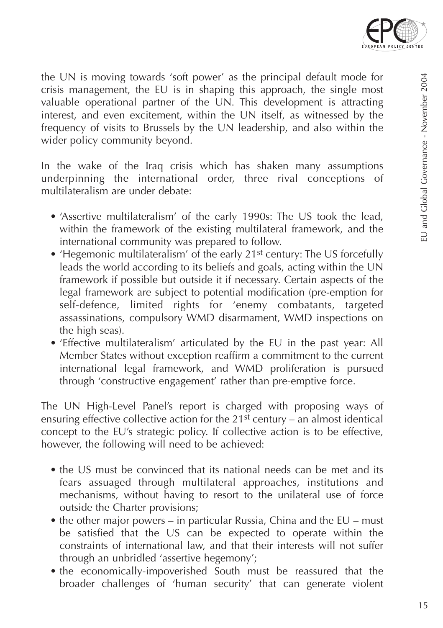

the UN is moving towards 'soft power' as the principal default mode for crisis management, the EU is in shaping this approach, the single most valuable operational partner of the UN. This development is attracting interest, and even excitement, within the UN itself, as witnessed by the frequency of visits to Brussels by the UN leadership, and also within the wider policy community beyond.

In the wake of the Iraq crisis which has shaken many assumptions underpinning the international order, three rival conceptions of multilateralism are under debate:

- 'Assertive multilateralism' of the early 1990s: The US took the lead, within the framework of the existing multilateral framework, and the international community was prepared to follow.
- 'Hegemonic multilateralism' of the early 21<sup>st</sup> century: The US forcefully leads the world according to its beliefs and goals, acting within the UN framework if possible but outside it if necessary. Certain aspects of the legal framework are subject to potential modification (pre-emption for self-defence, limited rights for 'enemy combatants, targeted assassinations, compulsory WMD disarmament, WMD inspections on the high seas).
- 'Effective multilateralism' articulated by the EU in the past year: All Member States without exception reaffirm a commitment to the current international legal framework, and WMD proliferation is pursued through 'constructive engagement' rather than pre-emptive force.

The UN High-Level Panel's report is charged with proposing ways of ensuring effective collective action for the  $21<sup>st</sup>$  century – an almost identical concept to the EU's strategic policy. If collective action is to be effective, however, the following will need to be achieved:

- the US must be convinced that its national needs can be met and its fears assuaged through multilateral approaches, institutions and mechanisms, without having to resort to the unilateral use of force outside the Charter provisions;
- the other major powers in particular Russia, China and the EU must be satisfied that the US can be expected to operate within the constraints of international law, and that their interests will not suffer through an unbridled 'assertive hegemony';
- the economically-impoverished South must be reassured that the broader challenges of 'human security' that can generate violent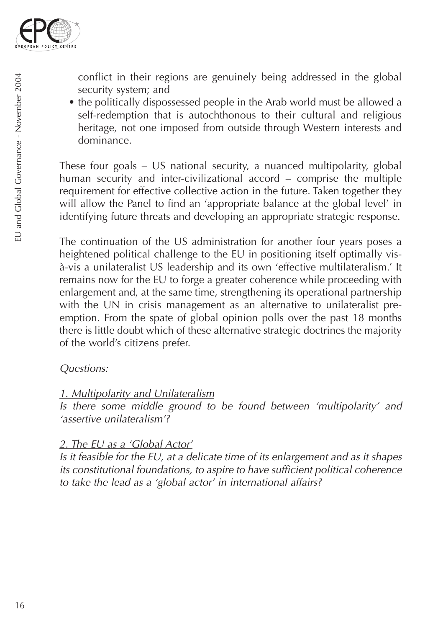

conflict in their regions are genuinely being addressed in the global security system; and

• the politically dispossessed people in the Arab world must be allowed a self-redemption that is autochthonous to their cultural and religious heritage, not one imposed from outside through Western interests and dominance.

These four goals – US national security, a nuanced multipolarity, global human security and inter-civilizational accord – comprise the multiple requirement for effective collective action in the future. Taken together they will allow the Panel to find an 'appropriate balance at the global level' in identifying future threats and developing an appropriate strategic response.

The continuation of the US administration for another four years poses a heightened political challenge to the EU in positioning itself optimally visà-vis a unilateralist US leadership and its own 'effective multilateralism.' It remains now for the EU to forge a greater coherence while proceeding with enlargement and, at the same time, strengthening its operational partnership with the UN in crisis management as an alternative to unilateralist preemption. From the spate of global opinion polls over the past 18 months there is little doubt which of these alternative strategic doctrines the majority of the world's citizens prefer.

#### *Questions:*

#### *1. Multipolarity and Unilateralism*

*Is there some middle ground to be found between 'multipolarity' and 'assertive unilateralism'?*

#### *2. The EU as a 'Global Actor'*

*Is it feasible for the EU, at a delicate time of its enlargement and as it shapes its constitutional foundations, to aspire to have sufficient political coherence to take the lead as a 'global actor' in international affairs?*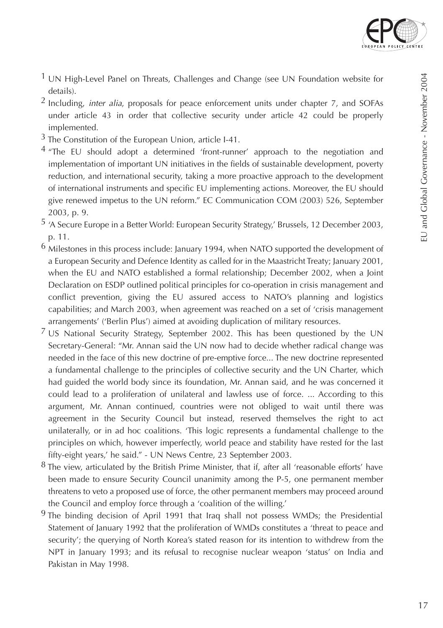

- $<sup>1</sup>$  UN High-Level Panel on Threats, Challenges and Change (see UN Foundation website for</sup> details).
- 2 Including, *inter alia*, proposals for peace enforcement units under chapter 7, and SOFAs under article 43 in order that collective security under article 42 could be properly implemented.
- $3$  The Constitution of the European Union, article I-41.
- $4$  "The EU should adopt a determined 'front-runner' approach to the negotiation and implementation of important UN initiatives in the fields of sustainable development, poverty reduction, and international security, taking a more proactive approach to the development of international instruments and specific EU implementing actions. Moreover, the EU should give renewed impetus to the UN reform." EC Communication COM (2003) 526, September 2003, p. 9.
- 5 'A Secure Europe in a Better World: European Security Strategy,' Brussels, 12 December 2003, p. 11.
- $6$  Milestones in this process include: January 1994, when NATO supported the development of a European Security and Defence Identity as called for in the Maastricht Treaty; January 2001, when the EU and NATO established a formal relationship; December 2002, when a Joint Declaration on ESDP outlined political principles for co-operation in crisis management and conflict prevention, giving the EU assured access to NATO's planning and logistics capabilities; and March 2003, when agreement was reached on a set of 'crisis management arrangements' ('Berlin Plus') aimed at avoiding duplication of military resources.
- $7$  US National Security Strategy, September 2002. This has been questioned by the UN Secretary-General: "Mr. Annan said the UN now had to decide whether radical change was needed in the face of this new doctrine of pre-emptive force... The new doctrine represented a fundamental challenge to the principles of collective security and the UN Charter, which had guided the world body since its foundation, Mr. Annan said, and he was concerned it could lead to a proliferation of unilateral and lawless use of force. ... According to this argument, Mr. Annan continued, countries were not obliged to wait until there was agreement in the Security Council but instead, reserved themselves the right to act unilaterally, or in ad hoc coalitions. 'This logic represents a fundamental challenge to the principles on which, however imperfectly, world peace and stability have rested for the last fifty-eight years,' he said." - UN News Centre, 23 September 2003.
- $8$  The view, articulated by the British Prime Minister, that if, after all 'reasonable efforts' have been made to ensure Security Council unanimity among the P-5, one permanent member threatens to veto a proposed use of force, the other permanent members may proceed around the Council and employ force through a 'coalition of the willing.'
- <sup>9</sup> The binding decision of April 1991 that Iraq shall not possess WMDs; the Presidential Statement of January 1992 that the proliferation of WMDs constitutes a 'threat to peace and security'; the querying of North Korea's stated reason for its intention to withdrew from the NPT in January 1993; and its refusal to recognise nuclear weapon 'status' on India and Pakistan in May 1998.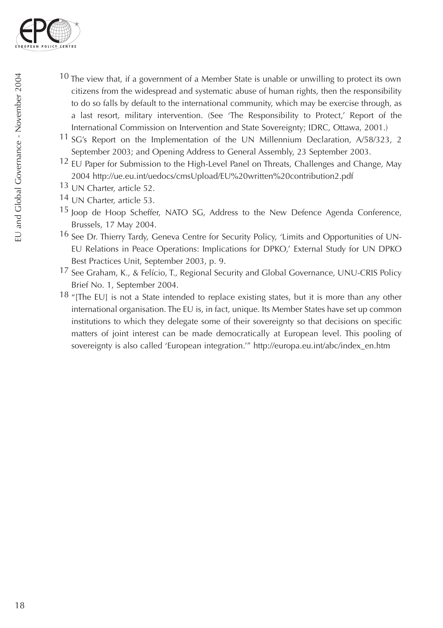

- $10$  The view that, if a government of a Member State is unable or unwilling to protect its own citizens from the widespread and systematic abuse of human rights, then the responsibility to do so falls by default to the international community, which may be exercise through, as a last resort, military intervention. (See 'The Responsibility to Protect,' Report of the International Commission on Intervention and State Sovereignty; IDRC, Ottawa, 2001.)
- <sup>11</sup> SG's Report on the Implementation of the UN Millennium Declaration,  $A/58/323$ , 2 September 2003; and Opening Address to General Assembly, 23 September 2003.
- 12 EU Paper for Submission to the High-Level Panel on Threats, Challenges and Change, May 2004 http://ue.eu.int/uedocs/cmsUpload/EU%20written%20contribution2.pdf
- 13 UN Charter, article 52.
- 14 UN Charter, article 53.
- 15 Joop de Hoop Scheffer, NATO SG, Address to the New Defence Agenda Conference, Brussels, 17 May 2004.
- 16 See Dr. Thierry Tardy, Geneva Centre for Security Policy, 'Limits and Opportunities of UN-EU Relations in Peace Operations: Implications for DPKO,' External Study for UN DPKO Best Practices Unit, September 2003, p. 9.
- 17 See Graham, K., & Felício, T., Regional Security and Global Governance, UNU-CRIS Policy Brief No. 1, September 2004.
- 18 "[The EU] is not a State intended to replace existing states, but it is more than any other international organisation. The EU is, in fact, unique. Its Member States have set up common institutions to which they delegate some of their sovereignty so that decisions on specific matters of joint interest can be made democratically at European level. This pooling of sovereignty is also called 'European integration.'" http://europa.eu.int/abc/index\_en.htm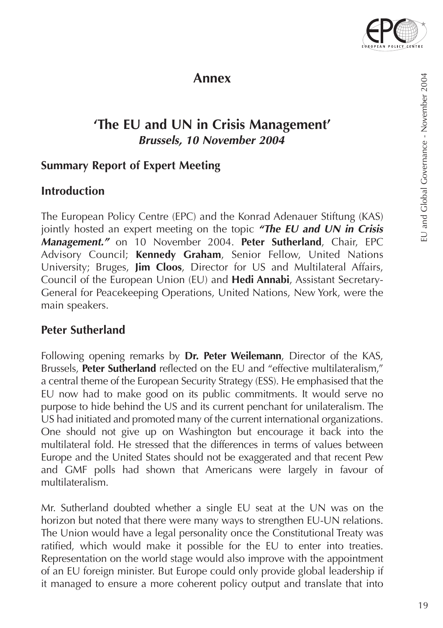

### **Annex**

# **'The EU and UN in Crisis Management'** *Brussels, 10 November 2004*

### **Summary Report of Expert Meeting**

#### **Introduction**

The European Policy Centre (EPC) and the Konrad Adenauer Stiftung (KAS) jointly hosted an expert meeting on the topic *"The EU and UN in Crisis Management."* on 10 November 2004. **Peter Sutherland**, Chair, EPC Advisory Council; **Kennedy Graham**, Senior Fellow, United Nations University; Bruges, **Jim Cloos**, Director for US and Multilateral Affairs, Council of the European Union (EU) and **Hedi Annabi**, Assistant Secretary-General for Peacekeeping Operations, United Nations, New York, were the main speakers.

#### **Peter Sutherland**

Following opening remarks by **Dr. Peter Weilemann**, Director of the KAS, Brussels, **Peter Sutherland** reflected on the EU and "effective multilateralism," a central theme of the European Security Strategy (ESS). He emphasised that the EU now had to make good on its public commitments. It would serve no purpose to hide behind the US and its current penchant for unilateralism. The US had initiated and promoted many of the current international organizations. One should not give up on Washington but encourage it back into the multilateral fold. He stressed that the differences in terms of values between Europe and the United States should not be exaggerated and that recent Pew and GMF polls had shown that Americans were largely in favour of multilateralism.

Mr. Sutherland doubted whether a single EU seat at the UN was on the horizon but noted that there were many ways to strengthen EU-UN relations. The Union would have a legal personality once the Constitutional Treaty was ratified, which would make it possible for the EU to enter into treaties. Representation on the world stage would also improve with the appointment of an EU foreign minister. But Europe could only provide global leadership if it managed to ensure a more coherent policy output and translate that into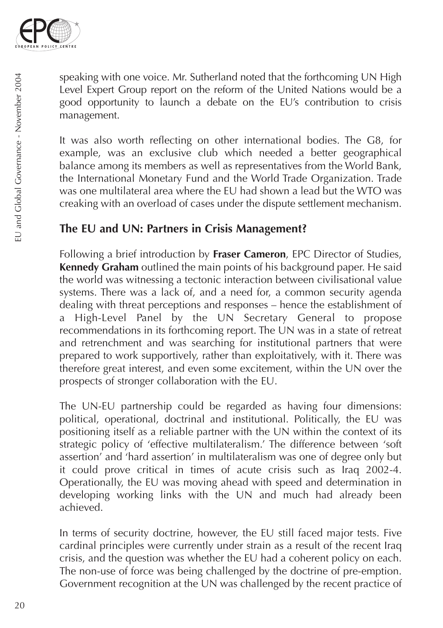

speaking with one voice. Mr. Sutherland noted that the forthcoming UN High Level Expert Group report on the reform of the United Nations would be a good opportunity to launch a debate on the EU's contribution to crisis management.

It was also worth reflecting on other international bodies. The G8, for example, was an exclusive club which needed a better geographical balance among its members as well as representatives from the World Bank, the International Monetary Fund and the World Trade Organization. Trade was one multilateral area where the EU had shown a lead but the WTO was creaking with an overload of cases under the dispute settlement mechanism.

### **The EU and UN: Partners in Crisis Management?**

Following a brief introduction by **Fraser Cameron**, EPC Director of Studies, **Kennedy Graham** outlined the main points of his background paper. He said the world was witnessing a tectonic interaction between civilisational value systems. There was a lack of, and a need for, a common security agenda dealing with threat perceptions and responses – hence the establishment of a High-Level Panel by the UN Secretary General to propose recommendations in its forthcoming report. The UN was in a state of retreat and retrenchment and was searching for institutional partners that were prepared to work supportively, rather than exploitatively, with it. There was therefore great interest, and even some excitement, within the UN over the prospects of stronger collaboration with the EU.

The UN-EU partnership could be regarded as having four dimensions: political, operational, doctrinal and institutional. Politically, the EU was positioning itself as a reliable partner with the UN within the context of its strategic policy of 'effective multilateralism.' The difference between 'soft assertion' and 'hard assertion' in multilateralism was one of degree only but it could prove critical in times of acute crisis such as Iraq 2002-4. Operationally, the EU was moving ahead with speed and determination in developing working links with the UN and much had already been achieved.

In terms of security doctrine, however, the EU still faced major tests. Five cardinal principles were currently under strain as a result of the recent Iraq crisis, and the question was whether the EU had a coherent policy on each. The non-use of force was being challenged by the doctrine of pre-emption. Government recognition at the UN was challenged by the recent practice of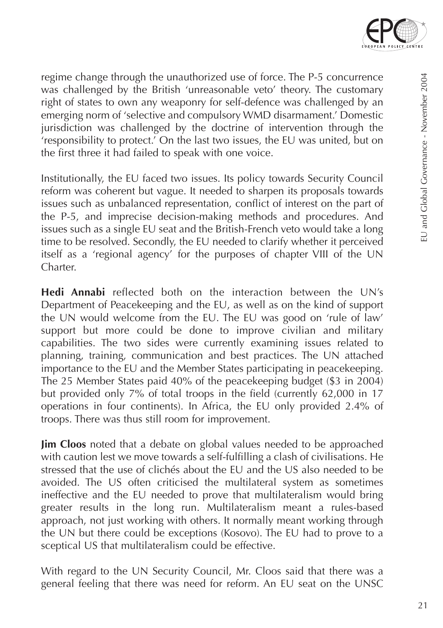

regime change through the unauthorized use of force. The P-5 concurrence was challenged by the British 'unreasonable veto' theory. The customary right of states to own any weaponry for self-defence was challenged by an emerging norm of 'selective and compulsory WMD disarmament.' Domestic jurisdiction was challenged by the doctrine of intervention through the 'responsibility to protect.' On the last two issues, the EU was united, but on the first three it had failed to speak with one voice.

Institutionally, the EU faced two issues. Its policy towards Security Council reform was coherent but vague. It needed to sharpen its proposals towards issues such as unbalanced representation, conflict of interest on the part of the P-5, and imprecise decision-making methods and procedures. And issues such as a single EU seat and the British-French veto would take a long time to be resolved. Secondly, the EU needed to clarify whether it perceived itself as a 'regional agency' for the purposes of chapter VIII of the UN Charter.

**Hedi Annabi** reflected both on the interaction between the UN's Department of Peacekeeping and the EU, as well as on the kind of support the UN would welcome from the EU. The EU was good on 'rule of law' support but more could be done to improve civilian and military capabilities. The two sides were currently examining issues related to planning, training, communication and best practices. The UN attached importance to the EU and the Member States participating in peacekeeping. The 25 Member States paid 40% of the peacekeeping budget (\$3 in 2004) but provided only 7% of total troops in the field (currently 62,000 in 17 operations in four continents). In Africa, the EU only provided 2.4% of troops. There was thus still room for improvement.

**Jim Cloos** noted that a debate on global values needed to be approached with caution lest we move towards a self-fulfilling a clash of civilisations. He stressed that the use of clichés about the EU and the US also needed to be avoided. The US often criticised the multilateral system as sometimes ineffective and the EU needed to prove that multilateralism would bring greater results in the long run. Multilateralism meant a rules-based approach, not just working with others. It normally meant working through the UN but there could be exceptions (Kosovo). The EU had to prove to a sceptical US that multilateralism could be effective.

With regard to the UN Security Council, Mr. Cloos said that there was a general feeling that there was need for reform. An EU seat on the UNSC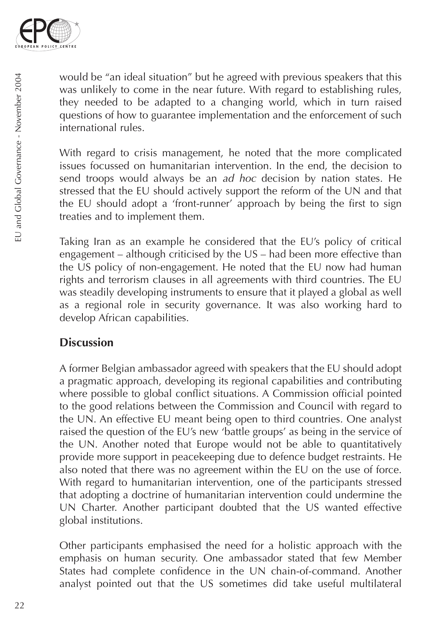

would be "an ideal situation" but he agreed with previous speakers that this was unlikely to come in the near future. With regard to establishing rules, they needed to be adapted to a changing world, which in turn raised questions of how to guarantee implementation and the enforcement of such international rules.

With regard to crisis management, he noted that the more complicated issues focussed on humanitarian intervention. In the end, the decision to send troops would always be an *ad hoc* decision by nation states. He stressed that the EU should actively support the reform of the UN and that the EU should adopt a 'front-runner' approach by being the first to sign treaties and to implement them.

Taking Iran as an example he considered that the EU's policy of critical engagement – although criticised by the US – had been more effective than the US policy of non-engagement. He noted that the EU now had human rights and terrorism clauses in all agreements with third countries. The EU was steadily developing instruments to ensure that it played a global as well as a regional role in security governance. It was also working hard to develop African capabilities.

### **Discussion**

A former Belgian ambassador agreed with speakers that the EU should adopt a pragmatic approach, developing its regional capabilities and contributing where possible to global conflict situations. A Commission official pointed to the good relations between the Commission and Council with regard to the UN. An effective EU meant being open to third countries. One analyst raised the question of the EU's new 'battle groups' as being in the service of the UN. Another noted that Europe would not be able to quantitatively provide more support in peacekeeping due to defence budget restraints. He also noted that there was no agreement within the EU on the use of force. With regard to humanitarian intervention, one of the participants stressed that adopting a doctrine of humanitarian intervention could undermine the UN Charter. Another participant doubted that the US wanted effective global institutions.

Other participants emphasised the need for a holistic approach with the emphasis on human security. One ambassador stated that few Member States had complete confidence in the UN chain-of-command. Another analyst pointed out that the US sometimes did take useful multilateral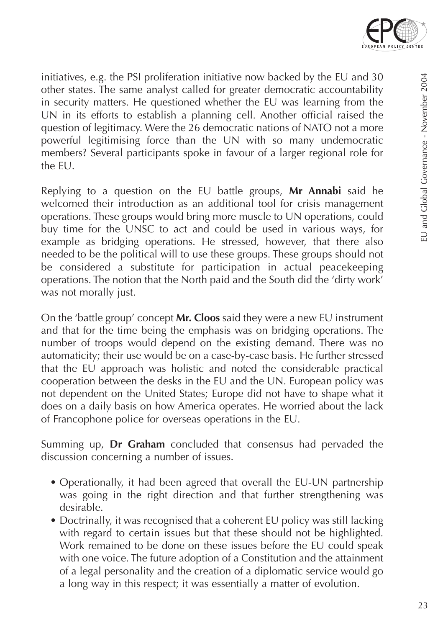

initiatives, e.g. the PSI proliferation initiative now backed by the EU and 30 other states. The same analyst called for greater democratic accountability in security matters. He questioned whether the EU was learning from the UN in its efforts to establish a planning cell. Another official raised the question of legitimacy. Were the 26 democratic nations of NATO not a more powerful legitimising force than the UN with so many undemocratic members? Several participants spoke in favour of a larger regional role for the EU.

Replying to a question on the EU battle groups, **Mr Annabi** said he welcomed their introduction as an additional tool for crisis management operations. These groups would bring more muscle to UN operations, could buy time for the UNSC to act and could be used in various ways, for example as bridging operations. He stressed, however, that there also needed to be the political will to use these groups. These groups should not be considered a substitute for participation in actual peacekeeping operations. The notion that the North paid and the South did the 'dirty work' was not morally just.

On the 'battle group' concept **Mr. Cloos** said they were a new EU instrument and that for the time being the emphasis was on bridging operations. The number of troops would depend on the existing demand. There was no automaticity; their use would be on a case-by-case basis. He further stressed that the EU approach was holistic and noted the considerable practical cooperation between the desks in the EU and the UN. European policy was not dependent on the United States; Europe did not have to shape what it does on a daily basis on how America operates. He worried about the lack of Francophone police for overseas operations in the EU.

Summing up, **Dr Graham** concluded that consensus had pervaded the discussion concerning a number of issues.

- Operationally, it had been agreed that overall the EU-UN partnership was going in the right direction and that further strengthening was desirable.
- Doctrinally, it was recognised that a coherent EU policy was still lacking with regard to certain issues but that these should not be highlighted. Work remained to be done on these issues before the EU could speak with one voice. The future adoption of a Constitution and the attainment of a legal personality and the creation of a diplomatic service would go a long way in this respect; it was essentially a matter of evolution.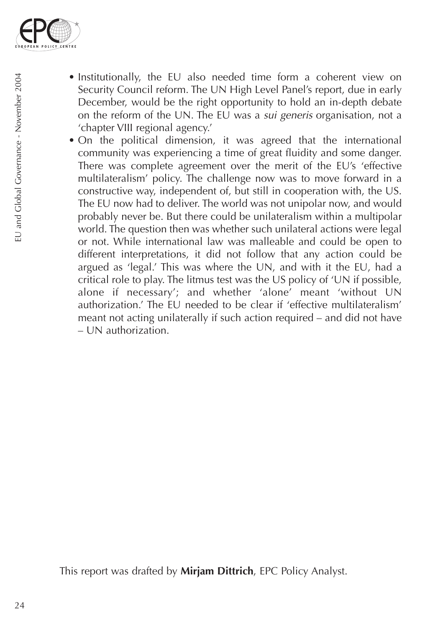

- Institutionally, the EU also needed time form a coherent view on Security Council reform. The UN High Level Panel's report, due in early December, would be the right opportunity to hold an in-depth debate on the reform of the UN. The EU was a *sui generis* organisation, not a 'chapter VIII regional agency.'
- On the political dimension, it was agreed that the international community was experiencing a time of great fluidity and some danger. There was complete agreement over the merit of the EU's 'effective multilateralism' policy. The challenge now was to move forward in a constructive way, independent of, but still in cooperation with, the US. The EU now had to deliver. The world was not unipolar now, and would probably never be. But there could be unilateralism within a multipolar world. The question then was whether such unilateral actions were legal or not. While international law was malleable and could be open to different interpretations, it did not follow that any action could be argued as 'legal.' This was where the UN, and with it the EU, had a critical role to play. The litmus test was the US policy of 'UN if possible, alone if necessary'; and whether 'alone' meant 'without UN authorization.' The EU needed to be clear if 'effective multilateralism' meant not acting unilaterally if such action required – and did not have – UN authorization.

This report was drafted by **Mirjam Dittrich**, EPC Policy Analyst.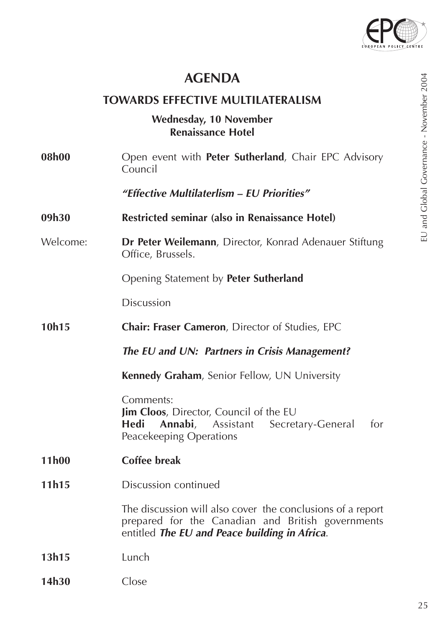

### **AGENDA**

#### **TOWARDS EFFECTIVE MULTILATERALISM**

#### **Wednesday, 10 November Renaissance Hotel**

**08h00** Open event with **Peter Sutherland**, Chair EPC Advisory Council

*"Effective Multilaterlism – EU Priorities"*

- **09h30 Restricted seminar (also in Renaissance Hotel)**
- Welcome: **Dr Peter Weilemann**, Director, Konrad Adenauer Stiftung Office, Brussels.

Opening Statement by **Peter Sutherland**

Discussion

- **10h15 Chair: Fraser Cameron**, Director of Studies, EPC
	- *The EU and UN: Partners in Crisis Management?*

**Kennedy Graham**, Senior Fellow, UN University

Comments: **Jim Cloos**, Director, Council of the EU<br>**Hedi Annabi**. Assistant Secret Annabi, Assistant Secretary-General for Peacekeeping Operations

- **11h00 Coffee break**
- **11h15** Discussion continued

The discussion will also cover the conclusions of a report prepared for the Canadian and British governments entitled *The EU and Peace building in Africa*.

- **13h15** Lunch
- **14h30** Close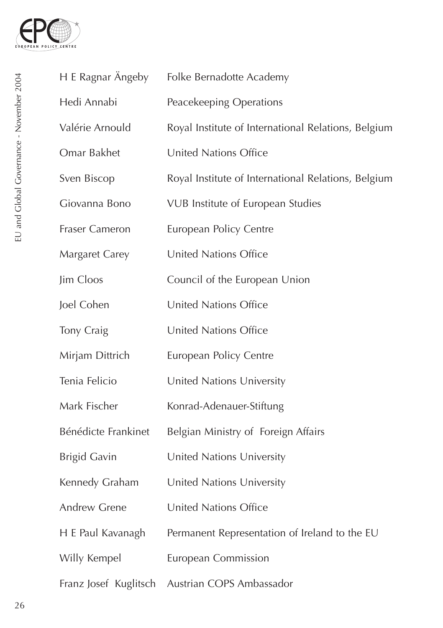

| H E Ragnar Ängeby     | Folke Bernadotte Academy                            |
|-----------------------|-----------------------------------------------------|
| Hedi Annabi           | Peacekeeping Operations                             |
| Valérie Arnould       | Royal Institute of International Relations, Belgium |
| Omar Bakhet           | <b>United Nations Office</b>                        |
| Sven Biscop           | Royal Institute of International Relations, Belgium |
| Giovanna Bono         | VUB Institute of European Studies                   |
| Fraser Cameron        | European Policy Centre                              |
| Margaret Carey        | United Nations Office                               |
| Jim Cloos             | Council of the European Union                       |
| Joel Cohen            | <b>United Nations Office</b>                        |
| Tony Craig            | United Nations Office                               |
| Mirjam Dittrich       | European Policy Centre                              |
| Tenia Felicio         | United Nations University                           |
| Mark Fischer          | Konrad-Adenauer-Stiftung                            |
| Bénédicte Frankinet   | Belgian Ministry of Foreign Affairs                 |
| <b>Brigid Gavin</b>   | United Nations University                           |
| Kennedy Graham        | United Nations University                           |
| Andrew Grene          | United Nations Office                               |
| H E Paul Kavanagh     | Permanent Representation of Ireland to the EU       |
| Willy Kempel          | <b>European Commission</b>                          |
| Franz Josef Kuglitsch | Austrian COPS Ambassador                            |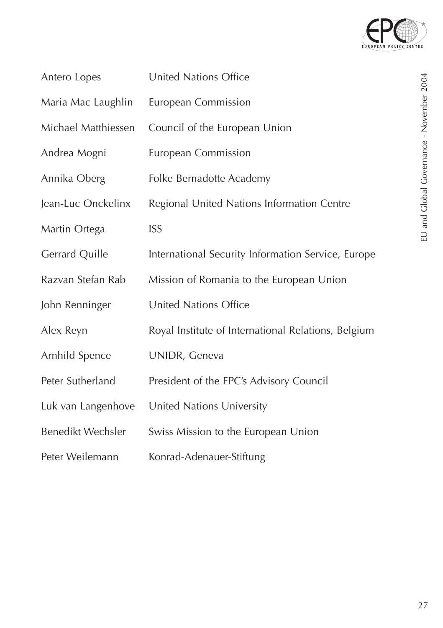

| Antero Lopes        | United Nations Office                               |
|---------------------|-----------------------------------------------------|
| Maria Mac Laughlin  | European Commission                                 |
| Michael Matthiessen | Council of the European Union                       |
| Andrea Mogni        | European Commission                                 |
| Annika Oberg        | Folke Bernadotte Academy                            |
| Jean-Luc Onckelinx  | Regional United Nations Information Centre          |
| Martin Ortega       | <b>ISS</b>                                          |
| Gerrard Quille      | International Security Information Service, Europe  |
| Razvan Stefan Rab   | Mission of Romania to the European Union            |
| John Renninger      | <b>United Nations Office</b>                        |
| Alex Reyn           | Royal Institute of International Relations, Belgium |
| Arnhild Spence      | UNIDR, Geneva                                       |
| Peter Sutherland    | President of the EPC's Advisory Council             |
| Luk van Langenhove  | United Nations University                           |
| Benedikt Wechsler   | Swiss Mission to the European Union                 |
| Peter Weilemann     | Konrad-Adenauer-Stiftung                            |